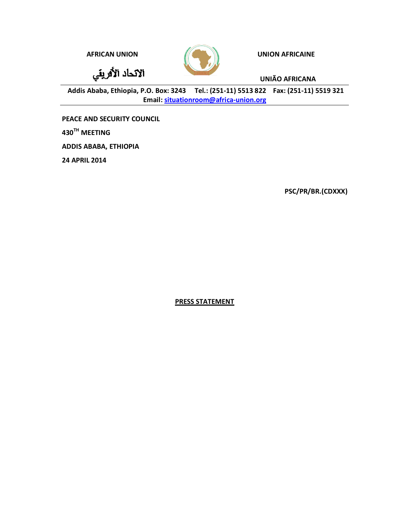**AFRICAN UNION AFRICAINE** 

الانحاد الأفريقي



**UNIÃO AFRICANA**

**Addis Ababa, Ethiopia, P.O. Box: 3243 Tel.: (251-11) 5513 822 Fax: (251-11) 5519 321 Email: situationroom@africa-union.org**

**PEACE AND SECURITY COUNCIL 430TH MEETING ADDIS ABABA, ETHIOPIA 24 APRIL 2014**

**PSC/PR/BR.(CDXXX)**

**PRESS STATEMENT**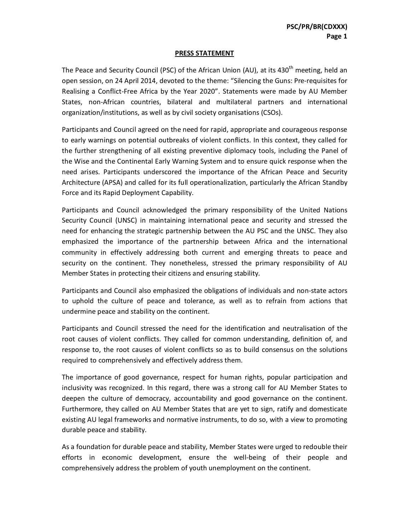## **PRESS STATEMENT**

The Peace and Security Council (PSC) of the African Union (AU), at its 430<sup>th</sup> meeting, held an open session, on 24 April 2014, devoted to the theme: "Silencing the Guns: Pre-requisites for Realising a Conflict-Free Africa by the Year 2020". Statements were made by AU Member States, non-African countries, bilateral and multilateral partners and international organization/institutions, as well as by civil society organisations (CSOs).

Participants and Council agreed on the need for rapid, appropriate and courageous response to early warnings on potential outbreaks of violent conflicts. In this context, they called for the further strengthening of all existing preventive diplomacy tools, including the Panel of the Wise and the Continental Early Warning System and to ensure quick response when the need arises. Participants underscored the importance of the African Peace and Security Architecture (APSA) and called for its full operationalization, particularly the African Standby Force and its Rapid Deployment Capability.

Participants and Council acknowledged the primary responsibility of the United Nations Security Council (UNSC) in maintaining international peace and security and stressed the need for enhancing the strategic partnership between the AU PSC and the UNSC. They also emphasized the importance of the partnership between Africa and the international community in effectively addressing both current and emerging threats to peace and security on the continent. They nonetheless, stressed the primary responsibility of AU Member States in protecting their citizens and ensuring stability.

Participants and Council also emphasized the obligations of individuals and non-state actors to uphold the culture of peace and tolerance, as well as to refrain from actions that undermine peace and stability on the continent.

Participants and Council stressed the need for the identification and neutralisation of the root causes of violent conflicts. They called for common understanding, definition of, and response to, the root causes of violent conflicts so as to build consensus on the solutions required to comprehensively and effectively address them.

The importance of good governance, respect for human rights, popular participation and inclusivity was recognized. In this regard, there was a strong call for AU Member States to deepen the culture of democracy, accountability and good governance on the continent. Furthermore, they called on AU Member States that are yet to sign, ratify and domesticate existing AU legal frameworks and normative instruments, to do so, with a view to promoting durable peace and stability.

As a foundation for durable peace and stability, Member States were urged to redouble their efforts in economic development, ensure the well-being of their people and comprehensively address the problem of youth unemployment on the continent.